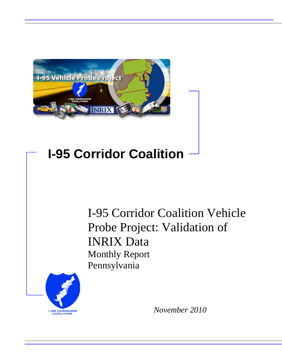

# **I-95 Corridor Coalition**

I-95 Corridor Coalition Vehicle Probe Project: Validation of INRIX Data Monthly Report Pennsylvania



*November 2010*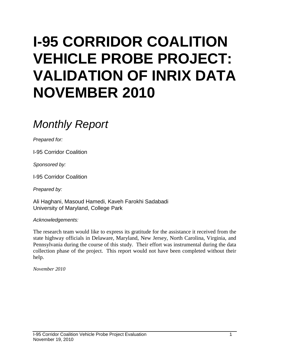# **I-95 CORRIDOR COALITION VEHICLE PROBE PROJECT: VALIDATION OF INRIX DATA NOVEMBER 2010**

# *Monthly Report*

*Prepared for:*

I-95 Corridor Coalition

*Sponsored by:*

I-95 Corridor Coalition

*Prepared by:*

Ali Haghani, Masoud Hamedi, Kaveh Farokhi Sadabadi University of Maryland, College Park

*Acknowledgements:*

The research team would like to express its gratitude for the assistance it received from the state highway officials in Delaware, Maryland, New Jersey, North Carolina, Virginia, and Pennsylvania during the course of this study. Their effort was instrumental during the data collection phase of the project. This report would not have been completed without their help.

*November 2010*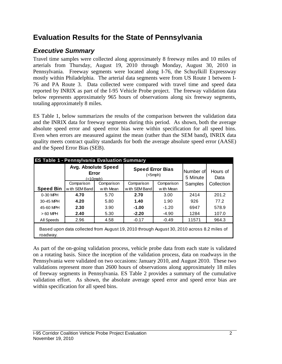# **Evaluation Results for the State of Pennsylvania**

# *Executive Summary*

Travel time samples were collected along approximately 8 freeway miles and 10 miles of arterials from Thursday, August 19, 2010 through Monday, August 30, 2010 in Pennsylvania. Freeway segments were located along I-76, the Schuylkill Expressway mostly within Philadelphia. The arterial data segments were from US Route 1 between I-76 and PA Route 3. Data collected were compared with travel time and speed data reported by INRIX as part of the I-95 Vehicle Probe project. The freeway validation data below represents approximately 965 hours of observations along six freeway segments, totaling approximately 8 miles.

ES Table 1, below summarizes the results of the comparison between the validation data and the INRIX data for freeway segments during this period. As shown, both the average absolute speed error and speed error bias were within specification for all speed bins. Even when errors are measured against the mean (rather than the SEM band), INRIX data quality meets contract quality standards for both the average absolute speed error (AASE) and the Speed Error Bias (SEB).

|                  | <b>ES Table 1 - Pennsylvania Evaluation Summary</b>                                        |            |                                          |            |                       |                  |  |  |  |  |  |
|------------------|--------------------------------------------------------------------------------------------|------------|------------------------------------------|------------|-----------------------|------------------|--|--|--|--|--|
|                  | Avg. Absolute Speed<br>Error<br>(<10                                                       |            | <b>Speed Error Bias</b><br>$(<5$ mph $)$ |            | Number of<br>5 Minute | Hours of<br>Data |  |  |  |  |  |
|                  | Comparison                                                                                 | Comparison | Comparison                               | Comparison | Samples               | Collection       |  |  |  |  |  |
| <b>Speed Bin</b> | w ith SEM Band                                                                             | w ith Mean | w ith SEM Band                           | w ith Mean |                       |                  |  |  |  |  |  |
| 0-30 MPH         | 4.70<br>5.70                                                                               |            | 2.70                                     | 3.00       | 2414                  | 201.2            |  |  |  |  |  |
| 30-45 MPH        | 4.20                                                                                       | 5.80       | 1.40                                     | 1.90       | 926                   | 77.2             |  |  |  |  |  |
| 45-60 MPH        | 2.30                                                                                       | 3.90       | $-1.00$                                  | $-1.20$    | 6947                  | 578.9            |  |  |  |  |  |
| $>60$ MPH        | 2.40                                                                                       | 5.30       | $-2.20$                                  | $-4.90$    | 1284                  | 107.0            |  |  |  |  |  |
| All Speeds       | 2.96                                                                                       | 4.58       | $-0.17$                                  | $-0.49$    | 11571                 | 964.3            |  |  |  |  |  |
| roadway.         | Based upon data collected from August 19, 2010 through August 30, 2010 across 8.2 miles of |            |                                          |            |                       |                  |  |  |  |  |  |

As part of the on-going validation process, vehicle probe data from each state is validated on a rotating basis. Since the inception of the validation process, data on roadways in the Pennsylvania were validated on two occasions: January 2010, and August 2010. These two validations represent more than 2600 hours of observations along approximately 18 miles of freeway segments in Pennsylvania. ES Table 2 provides a summary of the cumulative validation effort. As shown, the absolute average speed error and speed error bias are within specification for all speed bins.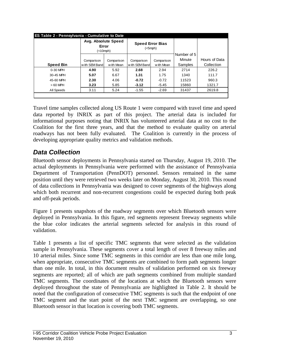|                  | <b>ES Table 2 - Pennsylvania - Cumulative to Date</b> |      |                             |                          |                                  |                             |  |  |  |  |  |  |
|------------------|-------------------------------------------------------|------|-----------------------------|--------------------------|----------------------------------|-----------------------------|--|--|--|--|--|--|
|                  | Avg. Absolute Speed<br>Error<br>(<10mph)              |      | <b>Speed Error Bias</b>     | $(<5$ mph $)$            |                                  |                             |  |  |  |  |  |  |
| <b>Speed Bin</b> | Comparison<br>with SEM Band                           |      | Comparison<br>with SEM Band | Comparison<br>w ith Mean | Number of 5<br>Minute<br>Samples | Hours of Data<br>Collection |  |  |  |  |  |  |
| $0-30$ MPH       | 4.90                                                  | 5.92 | 2.68                        | 2.94                     | 2714                             | 226.2                       |  |  |  |  |  |  |
| 30-45 MPH        | 5.07                                                  | 6.67 | 1.31                        | 1.75                     | 1340                             | 111.7                       |  |  |  |  |  |  |
| 45-60 MPH        | 2.30                                                  | 4.06 | $-0.72$                     | $-0.72$                  | 11523                            | 960.3                       |  |  |  |  |  |  |
| $>60$ MPH        | 3.23                                                  | 5.85 | $-3.12$                     | $-5.45$                  | 15860                            | 1321.7                      |  |  |  |  |  |  |
| All Speeds       | 3.11                                                  | 5.24 | $-1.55$                     | $-2.69$                  | 31437                            | 2619.8                      |  |  |  |  |  |  |
|                  |                                                       |      |                             |                          |                                  |                             |  |  |  |  |  |  |

Travel time samples collected along US Route 1 were compared with travel time and speed data reported by INRIX as part of this project. The arterial data is included for informational purposes noting that INRIX has volunteered arterial data at no cost to the Coalition for the first three years, and that the method to evaluate quality on arterial roadways has not been fully evaluated. The Coalition is currently in the process of developing appropriate quality metrics and validation methods.

### *Data Collection*

Bluetooth sensor deployments in Pennsylvania started on Thursday, August 19, 2010. The actual deployments in Pennsylvania were performed with the assistance of Pennsylvania Department of Transportation (PennDOT) personnel. Sensors remained in the same position until they were retrieved two weeks later on Monday, August 30, 2010. This round of data collections in Pennsylvania was designed to cover segments of the highways along which both recurrent and non-recurrent congestions could be expected during both peak and off-peak periods.

Figure 1 presents snapshots of the roadway segments over which Bluetooth sensors were deployed in Pennsylvania. In this figure, red segments represent freeway segments while the blue color indicates the arterial segments selected for analysis in this round of validation.

Table 1 presents a list of specific TMC segments that were selected as the validation sample in Pennsylvania. These segments cover a total length of over 8 freeway miles and 10 arterial miles. Since some TMC segments in this corridor are less than one mile long, when appropriate, consecutive TMC segments are combined to form path segments longer than one mile. In total, in this document results of validation performed on six freeway segments are reported; all of which are path segments combined from multiple standard TMC segments. The coordinates of the locations at which the Bluetooth sensors were deployed throughout the state of Pennsylvania are highlighted in Table 2. It should be noted that the configuration of consecutive TMC segments is such that the endpoint of one TMC segment and the start point of the next TMC segment are overlapping, so one Bluetooth sensor in that location is covering both TMC segments.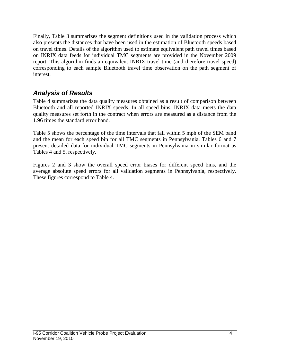Finally, Table 3 summarizes the segment definitions used in the validation process which also presents the distances that have been used in the estimation of Bluetooth speeds based on travel times. Details of the algorithm used to estimate equivalent path travel times based on INRIX data feeds for individual TMC segments are provided in the November 2009 report. This algorithm finds an equivalent INRIX travel time (and therefore travel speed) corresponding to each sample Bluetooth travel time observation on the path segment of interest.

## *Analysis of Results*

Table 4 summarizes the data quality measures obtained as a result of comparison between Bluetooth and all reported INRIX speeds. In all speed bins, INRIX data meets the data quality measures set forth in the contract when errors are measured as a distance from the 1.96 times the standard error band.

Table 5 shows the percentage of the time intervals that fall within 5 mph of the SEM band and the mean for each speed bin for all TMC segments in Pennsylvania. Tables 6 and 7 present detailed data for individual TMC segments in Pennsylvania in similar format as Tables 4 and 5, respectively.

Figures 2 and 3 show the overall speed error biases for different speed bins, and the average absolute speed errors for all validation segments in Pennsylvania, respectively. These figures correspond to Table 4.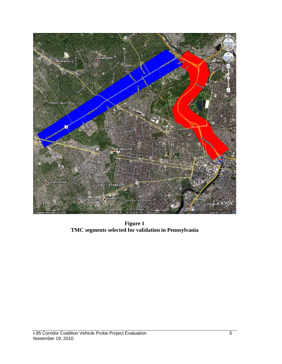

**Figure 1 TMC segments selected for validation in Pennsylvania**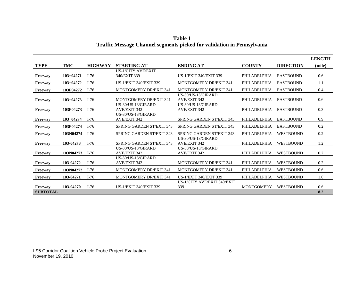|                 |             |                |                                  |                                  |                   |                  | <b>LENGTH</b> |
|-----------------|-------------|----------------|----------------------------------|----------------------------------|-------------------|------------------|---------------|
| <b>TYPE</b>     | TMC         | <b>HIGHWAY</b> | <b>STARTING AT</b>               | <b>ENDING AT</b>                 | <b>COUNTY</b>     | <b>DIRECTION</b> | (mile)        |
|                 |             |                | <b>US-1/CITY AVE/EXIT</b>        |                                  |                   |                  |               |
| Freeway         | $103+04271$ | $I-76$         | 340/EXIT 339                     | <b>US-1/EXIT 340/EXIT 339</b>    | PHILADELPHIA      | <b>EASTBOUND</b> | 0.6           |
| Freeway         | $103+04272$ | $I-76$         | <b>US-1/EXIT 340/EXIT 339</b>    | <b>MONTGOMERY DR/EXIT 341</b>    | PHILADELPHIA      | <b>EASTBOUND</b> | 1.1           |
| Freeway         | 103P04272   | $I-76$         | <b>MONTGOMERY DR/EXIT 341</b>    | <b>MONTGOMERY DR/EXIT 341</b>    | PHILADELPHIA      | <b>EASTBOUND</b> | 0.4           |
|                 |             |                |                                  | US-30/US-13/GIRARD               |                   |                  |               |
| Freeway         | $103+04273$ | $I-76$         | <b>MONTGOMERY DR/EXIT 341</b>    | <b>AVE/EXIT 342</b>              | PHILADELPHIA      | <b>EASTBOUND</b> | 0.6           |
|                 |             |                | $US-30/US-13/GIRARD$             | US-30/US-13/GIRARD               |                   |                  |               |
| Freeway         | 103P04273   | $I-76$         | <b>AVE/EXIT 342</b>              | <b>AVE/EXIT 342</b>              | PHILADELPHIA      | <b>EASTBOUND</b> | 0.3           |
|                 |             |                | US-30/US-13/GIRARD               |                                  |                   |                  |               |
| Freeway         | $103+04274$ | $I-76$         | <b>AVE/EXIT 342</b>              | <b>SPRING GARDEN ST/EXIT 343</b> | PHILADELPHIA      | <b>EASTBOUND</b> | 0.9           |
| Freeway         | 103P04274   | $I-76$         | <b>SPRING GARDEN ST/EXIT 343</b> | <b>SPRING GARDEN ST/EXIT 343</b> | PHILADELPHIA      | <b>EASTBOUND</b> | 0.2           |
| Freeway         | 103N04274   | $I-76$         | <b>SPRING GARDEN ST/EXIT 343</b> | <b>SPRING GARDEN ST/EXIT 343</b> | PHILADELPHIA      | <b>WESTBOUND</b> | 0.2           |
|                 |             |                |                                  | US-30/US-13/GIRARD               |                   |                  |               |
| Freeway         | 103-04273   | $I-76$         | <b>SPRING GARDEN ST/EXIT 343</b> | <b>AVE/EXIT 342</b>              | PHILADELPHIA      | <b>WESTBOUND</b> | 1.2           |
|                 |             |                | $US-30/US-13/GIRARD$             | US-30/US-13/GIRARD               |                   |                  |               |
| Freeway         | 103N04273   | $I-76$         | <b>AVE/EXIT 342</b>              | <b>AVE/EXIT 342</b>              | PHILADELPHIA      | <b>WESTBOUND</b> | 0.2           |
|                 |             |                | $US-30/US-13/GIRARD$             |                                  |                   |                  |               |
| Freeway         | 103-04272   | $I-76$         | <b>AVE/EXIT 342</b>              | <b>MONTGOMERY DR/EXIT 341</b>    | PHILADELPHIA      | <b>WESTBOUND</b> | 0.2           |
| Freeway         | 103N04272   | $I-76$         | <b>MONTGOMERY DR/EXIT 341</b>    | MONTGOMERY DR/EXIT 341           | PHILADELPHIA      | <b>WESTBOUND</b> | 0.6           |
| Freeway         | 103-04271   | $I-76$         | <b>MONTGOMERY DR/EXIT 341</b>    | <b>US-1/EXIT 340/EXIT 339</b>    | PHILADELPHIA      | <b>WESTBOUND</b> | 1.0           |
|                 |             |                |                                  | US-1/CITY AVE/EXIT 340/EXIT      |                   |                  |               |
| Freeway         | 103-04270   | $I-76$         | <b>US-1/EXIT 340/EXIT 339</b>    | 339                              | <b>MONTGOMERY</b> | <b>WESTBOUND</b> | 0.6           |
| <b>SUBTOTAL</b> |             |                |                                  |                                  |                   |                  | 8.2           |

**Table 1 Traffic Message Channel segments picked for validation in Pennsylvania**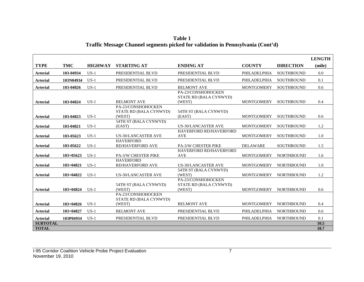|                 |               |                |                                                        |                                                        |                   |                   | <b>LENGTH</b> |
|-----------------|---------------|----------------|--------------------------------------------------------|--------------------------------------------------------|-------------------|-------------------|---------------|
| <b>TYPE</b>     | <b>TMC</b>    | <b>HIGHWAY</b> | <b>STARTING AT</b>                                     | <b>ENDING AT</b>                                       | <b>COUNTY</b>     | <b>DIRECTION</b>  | (mile)        |
| <b>Arterial</b> | 103-04934     | $US-1$         | PRESIDENTIAL BLVD                                      | PRESIDENTIAL BLVD                                      | PHILADELPHIA      | <b>SOUTHBOUND</b> | 0.0           |
| <b>Arterial</b> | 103N04934     | $US-1$         | PRESIDENTIAL BLVD                                      | PRESIDENTIAL BLVD                                      | PHILADELPHIA      | <b>SOUTHBOUND</b> | 0.1           |
| <b>Arterial</b> | 103-04826     | $US-1$         | PRESIDENTIAL BLVD                                      | <b>BELMONT AVE</b>                                     | <b>MONTGOMERY</b> | <b>SOUTHBOUND</b> | 0.6           |
| <b>Arterial</b> | 103-04824     | $US-1$         | <b>BELMONT AVE</b>                                     | PA-23/CONSHOHOCKEN<br>STATE RD (BALA CYNWYD)<br>(WEST) | <b>MONTGOMERY</b> | <b>SOUTHBOUND</b> | 0.4           |
|                 |               |                | PA-23/CONSHOHOCKEN                                     |                                                        |                   |                   |               |
| <b>Arterial</b> | 103-04823     | $US-1$         | STATE RD (BALA CYNWYD)<br>(WEST)                       | 54TH ST (BALA CYNWYD)<br>(EAST)                        | <b>MONTGOMERY</b> | <b>SOUTHBOUND</b> | 0.6           |
| <b>Arterial</b> | 103-04821     | $US-1$         | 54TH ST (BALA CYNWYD)<br>(EAST)                        | <b>US-30/LANCASTER AVE</b>                             | <b>MONTGOMERY</b> | <b>SOUTHBOUND</b> | 1.2           |
| <b>Arterial</b> | 103-05623     | $US-1$         | <b>US-30/LANCASTER AVE</b>                             | <b>HAVERFORD RD/HAVERFORD</b><br><b>AVE</b>            | <b>MONTGOMERY</b> | <b>SOUTHBOUND</b> | 1.0           |
| <b>Arterial</b> | 103-05622     | $US-1$         | <b>HAVERFORD</b><br><b>RD/HAVERFORD AVE</b>            | PA-3/W CHESTER PIKE                                    | <b>DELAWARE</b>   | <b>SOUTHBOUND</b> | 1.5           |
| <b>Arterial</b> | $103+05623$   | $US-1$         | <b>PA-3/W CHESTER PIKE</b>                             | HAVERFORD RD/HAVERFORD<br><b>AVE</b>                   | <b>MONTGOMERY</b> | <b>NORTHBOUND</b> | 1.6           |
| <b>Arterial</b> | $103 + 04821$ | $US-1$         | <b>HAVERFORD</b><br><b>RD/HAVERFORD AVE</b>            | <b>US-30/LANCASTER AVE</b>                             | <b>MONTGOMERY</b> | <b>NORTHBOUND</b> | 1.0           |
| <b>Arterial</b> | $103+04822$   | $US-1$         | <b>US-30/LANCASTER AVE</b>                             | 54TH ST (BALA CYNWYD)<br>(WEST)                        | <b>MONTGOMERY</b> | <b>NORTHBOUND</b> | 1.2           |
| <b>Arterial</b> | $103 + 04824$ | $US-1$         | 54TH ST (BALA CYNWYD)<br>(WEST)                        | PA-23/CONSHOHOCKEN<br>STATE RD (BALA CYNWYD)<br>(WEST) | <b>MONTGOMERY</b> | <b>NORTHBOUND</b> | 0.6           |
| <b>Arterial</b> | $103+04826$   | $US-1$         | PA-23/CONSHOHOCKEN<br>STATE RD (BALA CYNWYD)<br>(WEST) | <b>BELMONT AVE</b>                                     | <b>MONTGOMERY</b> | <b>NORTHBOUND</b> | 0.4           |
| <b>Arterial</b> | $103 + 04827$ | $US-1$         | <b>BELMONT AVE</b>                                     | PRESIDENTIAL BLVD                                      | PHILADELPHIA      | <b>NORTHBOUND</b> | 0.6           |
| <b>Arterial</b> | 103P04934     | $US-1$         | PRESIDENTIAL BLVD                                      | PRESIDENTIAL BLVD                                      | PHILADELPHIA      | <b>NORTHBOUND</b> | 0.1           |
| <b>SUBTOTAL</b> |               |                |                                                        |                                                        |                   |                   | 10.5          |
| <b>TOTAL</b>    |               |                |                                                        |                                                        |                   |                   | 18.7          |

**Table 1 Traffic Message Channel segments picked for validation in Pennsylvania (Cont'd)**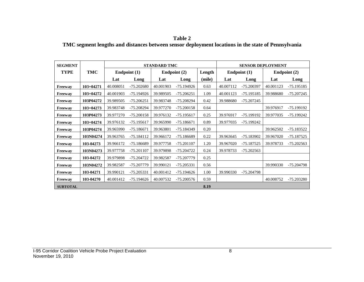| Table 2                                                                                            |
|----------------------------------------------------------------------------------------------------|
| TMC segment lengths and distances between sensor deployment locations in the state of Pennsylvania |

| <b>SEGMENT</b>  |               |           |              | <b>STANDARD TMC</b> |                        |        |              | <b>SENSOR DEPLOYMENT</b> |           |              |
|-----------------|---------------|-----------|--------------|---------------------|------------------------|--------|--------------|--------------------------|-----------|--------------|
| <b>TYPE</b>     | TMC           |           | Endpoint (1) |                     | Endpoint (2)<br>Length |        | Endpoint (1) |                          |           | Endpoint (2) |
|                 |               | Lat       | Long         | Lat                 | Long                   | (mile) | Lat          | Long                     | Lat       | Long         |
| Freeway         | $103 + 04271$ | 40.008051 | $-75.202680$ | 40.001903           | $-75.194926$           | 0.63   | 40.007112    | -75.200397               | 40.001123 | -75.195185   |
| Freeway         | 103+04272     | 40.001903 | -75.194926   | 39.989505           | $-75.206251$           | 1.09   | 40.001123    | -75.195185               | 39.988680 | $-75.207245$ |
| Freeway         | 103P04272     | 39.989505 | $-75.206251$ | 39.983748           | -75.208294             | 0.42   | 39.988680    | -75.207245               |           |              |
| Freeway         | $103+04273$   | 39.983748 | $-75.208294$ | 39.977270           | $-75.200158$           | 0.64   |              |                          | 39.976917 | -75.199192   |
| <b>Freeway</b>  | 103P04273     | 39.977270 | $-75.200158$ | 39.976132           | $-75.195617$           | 0.25   | 39.976917    | -75.199192               | 39.977035 | -75.199242   |
| Freeway         | $103 + 04274$ | 39.976132 | -75.195617   | 39.965990           | $-75.186671$           | 0.89   | 39.977035    | -75.199242               |           |              |
| Freeway         | 103P04274     | 39.965990 | $-75.186671$ | 39.963801           | $-75.184349$           | 0.20   |              |                          | 39.962502 | $-75.183522$ |
| Freeway         | 103N04274     | 39.963765 | $-75.184112$ | 39.966172           | $-75.186689$           | 0.22   | 39.963645    | -75.183902               | 39.967020 | -75.187525   |
| Freeway         | 103-04273     | 39.966172 | -75.186689   | 39.977758           | $-75.201107$           | 1.20   | 39.967020    | -75.187525               | 39.978733 | $-75.202563$ |
| Freeway         | 103N04273     | 39.977758 | $-75.201107$ | 39.979898           | $-75.204722$           | 0.24   | 39.978733    | $-75.202563$             |           |              |
| Freeway         | 103-04272     | 39.979898 | -75.204722   | 39.982587           | -75.207779             | 0.25   |              |                          |           |              |
| Freeway         | 103N04272     | 39.982587 | -75.207779   | 39.990121           | $-75.205331$           | 0.56   |              |                          | 39.990330 | -75.204798   |
| Freeway         | 103-04271     | 39.990121 | -75.205331   | 40.001412           | $-75.194626$           | 1.00   | 39.990330    | -75.204798               |           |              |
| <b>Freeway</b>  | 103-04270     | 40.001412 | $-75.194626$ | 40.007532           | $-75.200576$           | 0.59   |              |                          | 40.008752 | -75.203280   |
| <b>SUBTOTAL</b> |               |           |              |                     |                        | 8.19   |              |                          |           |              |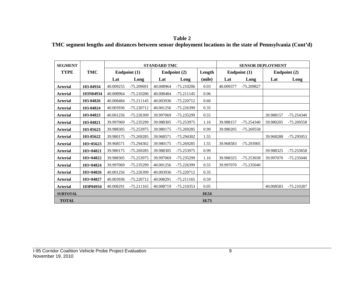**Table 2 TMC segment lengths and distances between sensor deployment locations in the state of Pennsylvania (Cont'd)**

| <b>SEGMENT</b>  |               |           |              | <b>STANDARD TMC</b> |              |        |           | <b>SENSOR DEPLOYMENT</b> |           |              |
|-----------------|---------------|-----------|--------------|---------------------|--------------|--------|-----------|--------------------------|-----------|--------------|
| <b>TYPE</b>     | <b>TMC</b>    |           | Endpoint (1) |                     | Endpoint (2) | Length |           | Endpoint (1)             |           | Endpoint (2) |
|                 |               | Lat       | Long         | Lat                 | Long         | (mile) | Lat       | Long                     | Lat       | Long         |
| <b>Arterial</b> | 103-04934     | 40.009255 | -75.209691   | 40.008964           | $-75.210206$ | 0.03   | 40.009377 | -75.209827               |           |              |
| <b>Arterial</b> | 103N04934     | 40.008964 | $-75.210206$ | 40.008484           | $-75.211145$ | 0.06   |           |                          |           |              |
| <b>Arterial</b> | 103-04826     | 40.008484 | $-75.211145$ | 40.003936           | $-75.220712$ | 0.60   |           |                          |           |              |
| <b>Arterial</b> | 103-04824     | 40.003936 | $-75.220712$ | 40.001256           | -75.226399   | 0.35   |           |                          |           |              |
| <b>Arterial</b> | 103-04823     | 40.001256 | -75.226399   | 39.997069           | -75.235299   | 0.55   |           |                          | 39.988157 | -75.254340   |
| <b>Arterial</b> | 103-04821     | 39.997069 | -75.235299   | 39.988305           | -75.253975   | 1.16   | 39.988157 | $-75.254340$             | 39.980205 | -75.269558   |
| <b>Arterial</b> | 103-05623     | 39.988305 | $-75.253975$ | 39.980175           | $-75.269285$ | 0.99   | 39.980205 | -75.269558               |           |              |
| <b>Arterial</b> | 103-05622     | 39.980175 | -75.269285   | 39.968571           | -75.294302   | 1.55   |           |                          | 39.968288 | -75.295053   |
| <b>Arterial</b> | $103 + 05623$ | 39.968571 | -75.294302   | 39.980175           | $-75.269285$ | 1.55   | 39.968583 | $-75.293905$             |           |              |
| <b>Arterial</b> | 103+04821     | 39.980175 | -75.269285   | 39.988305           | $-75.253975$ | 0.99   |           |                          | 39.988325 | $-75.253658$ |
| <b>Arterial</b> | 103+04822     | 39.988305 | $-75.253975$ | 39.997069           | -75.235299   | 1.16   | 39.988325 | -75.253658               | 39.997070 | $-75.235040$ |
| <b>Arterial</b> | $103 + 04824$ | 39.997069 | -75.235299   | 40.001256           | -75.226399   | 0.55   | 39.997070 | $-75.235040$             |           |              |
| <b>Arterial</b> | $103 + 04826$ | 40.001256 | -75.226399   | 40.003936           | $-75.220712$ | 0.35   |           |                          |           |              |
| <b>Arterial</b> | 103+04827     | 40.003936 | -75.220712   | 40.008291           | $-75.211165$ | 0.59   |           |                          |           |              |
| <b>Arterial</b> | 103P04934     | 40.008291 | $-75.211165$ | 40.008719           | $-75.210353$ | 0.05   |           |                          | 40.008583 | $-75.210287$ |
| <b>SUBTOTAL</b> |               |           |              |                     |              | 10.54  |           |                          |           |              |
| <b>TOTAL</b>    |               |           |              |                     |              | 18.73  |           |                          |           |              |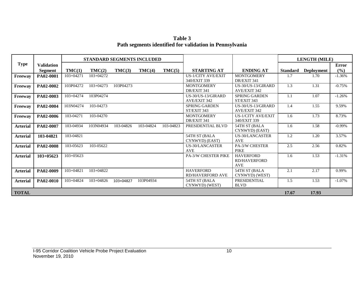**Table 3 Path segments identified for validation in Pennsylvania**

|                 |                                     |               |               | <b>STANDARD SEGMENTS INCLUDED</b> |           |           |                                             |                                                       |                 | <b>LENGTH (MILE)</b> |                     |
|-----------------|-------------------------------------|---------------|---------------|-----------------------------------|-----------|-----------|---------------------------------------------|-------------------------------------------------------|-----------------|----------------------|---------------------|
| <b>Type</b>     | <b>Validation</b><br><b>Segment</b> | TMC(1)        | TMC(2)        | TMC(3)                            | TMC(4)    | TMC(5)    | <b>STARTING AT</b>                          | <b>ENDING AT</b>                                      | <b>Standard</b> | <b>Deployment</b>    | <b>Error</b><br>(%) |
| Freeway         | PA02-0001                           | 103+04271     | 103+04272     |                                   |           |           | <b>US-1/CITY AVE/EXIT</b><br>340/EXIT 339   | <b>MONTGOMERY</b><br>DR/EXIT 341                      | 1.7             | 1.70                 | $-1.36%$            |
| Freeway         | PA02-0002                           | 103P04272     | $103 + 04273$ | 103P04273                         |           |           | <b>MONTGOMERY</b><br>DR/EXIT 341            | US-30/US-13/GIRARD<br><b>AVE/EXIT 342</b>             | 1.3             | 1.31                 | $-0.75%$            |
| Freeway         | PA02-0003                           | 103+04274     | 103P04274     |                                   |           |           | US-30/US-13/GIRARD<br>AVE/EXIT 342          | <b>SPRING GARDEN</b><br>ST/EXIT 343                   | 1.1             | 1.07                 | $-1.26%$            |
| Freeway         | PA02-0004                           | 103N04274     | 103-04273     |                                   |           |           | <b>SPRING GARDEN</b><br>ST/EXIT 343         | US-30/US-13/GIRARD<br><b>AVE/EXIT 342</b>             | 1.4             | 1.55                 | 9.59%               |
| Freeway         | PA02-0006                           | 103-04271     | 103-04270     |                                   |           |           | <b>MONTGOMERY</b><br>DR/EXIT 341            | <b>US-1/CITY AVE/EXIT</b><br>340/EXIT 339             | 1.6             | 1.73                 | 8.73%               |
| <b>Arterial</b> | PA02-0007                           | 103-04934     | 103N04934     | 103-04826                         | 103-04824 | 103-04823 | PRESIDENTIAL BLVD                           | 54TH ST (BALA<br>CYNWYD) (EAST)                       | 1.6             | 1.58                 | $-0.99%$            |
| <b>Arterial</b> | 103-04821                           | 103-04821     |               |                                   |           |           | 54TH ST (BALA<br>CYNWYD) (EAST)             | <b>US-30/LANCASTER</b><br><b>AVE</b>                  | 1.2             | 1.20                 | 3.57%               |
| <b>Arterial</b> | PA02-0008                           | 103-05623     | 103-05622     |                                   |           |           | <b>US-30/LANCASTER</b><br><b>AVE</b>        | <b>PA-3/W CHESTER</b><br><b>PIKE</b>                  | 2.5             | 2.56                 | 0.82%               |
| <b>Arterial</b> | $103+05623$                         | $103+05623$   |               |                                   |           |           | <b>PA-3/W CHESTER PIKE</b>                  | <b>HAVERFORD</b><br><b>RD/HAVERFORD</b><br><b>AVE</b> | 1.6             | 1.53                 | $-1.31%$            |
| <b>Arterial</b> | PA02-0009                           | $103 + 04821$ | $103 + 04822$ |                                   |           |           | <b>HAVERFORD</b><br><b>RD/HAVERFORD AVE</b> | 54TH ST (BALA<br>CYNWYD) (WEST)                       | 2.1             | 2.17                 | 0.99%               |
| <b>Arterial</b> | PA02-0010                           | 103+04824     | 103+04826     | 103+04827                         | 103P04934 |           | 54TH ST (BALA<br>CYNWYD) (WEST)             | <b>PRESIDENTIAL</b><br><b>BLVD</b>                    | 1.5             | 1.53                 | $-1.07%$            |
| <b>TOTAL</b>    |                                     |               |               |                                   |           |           |                                             |                                                       | 17.67           | 17.93                |                     |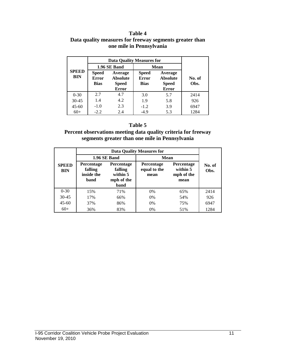#### **Table 4 Data quality measures for freeway segments greater than one mile in Pennsylvania**

|                            |                                             | <b>Data Quality Measures for</b>                           |                                             |                                                            |                |
|----------------------------|---------------------------------------------|------------------------------------------------------------|---------------------------------------------|------------------------------------------------------------|----------------|
| <b>SPEED</b><br><b>BIN</b> |                                             | 1.96 SE Band                                               | <b>Mean</b>                                 |                                                            |                |
|                            | <b>Speed</b><br><b>Error</b><br><b>Bias</b> | Average<br><b>Absolute</b><br><b>Speed</b><br><b>Error</b> | <b>Speed</b><br><b>Error</b><br><b>Bias</b> | Average<br><b>Absolute</b><br><b>Speed</b><br><b>Error</b> | No. of<br>Obs. |
| $0 - 30$                   | 2.7                                         | 4.7                                                        | 3.0                                         | 5.7                                                        | 2414           |
| $30 - 45$                  | 1.4                                         | 4.2                                                        | 1.9                                         | 5.8                                                        | 926            |
| $45 - 60$                  | $-1.0$                                      | 2.3                                                        | $-1.2$                                      | 3.9                                                        | 6947           |
| $60+$                      | $-2.2$                                      | 2.4                                                        | $-4.9$                                      | 5.3                                                        | 1284           |

#### **Table 5**

#### **Percent observations meeting data quality criteria for freeway segments greater than one mile in Pennsylvania**

|                            |                                                    | <b>Data Quality Measures for</b>                        |                                           |                                                     |                |  |  |  |  |  |
|----------------------------|----------------------------------------------------|---------------------------------------------------------|-------------------------------------------|-----------------------------------------------------|----------------|--|--|--|--|--|
| <b>SPEED</b><br><b>BIN</b> |                                                    | 1.96 SE Band                                            | Mean                                      |                                                     |                |  |  |  |  |  |
|                            | <b>Percentage</b><br>falling<br>inside the<br>band | Percentage<br>falling<br>within 5<br>mph of the<br>band | <b>Percentage</b><br>equal to the<br>mean | <b>Percentage</b><br>within 5<br>mph of the<br>mean | No. of<br>Obs. |  |  |  |  |  |
| $0 - 30$                   | 15%                                                | 71%                                                     | 0%                                        | 65%                                                 | 2414           |  |  |  |  |  |
| $30 - 45$                  | 17%                                                | 66%                                                     | $0\%$                                     | 54%                                                 | 926            |  |  |  |  |  |
| $45 - 60$                  | 37%                                                | 86%                                                     | $0\%$                                     | 75%                                                 | 6947           |  |  |  |  |  |
| $60+$                      | 36%                                                | 83%                                                     | 0%                                        | 51%                                                 | 1284           |  |  |  |  |  |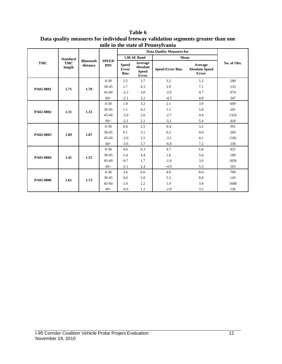|            |                      |                              |                            |                                             |                                                     | <b>Data Quality Measures for</b> |                                                  |             |
|------------|----------------------|------------------------------|----------------------------|---------------------------------------------|-----------------------------------------------------|----------------------------------|--------------------------------------------------|-------------|
|            | <b>Standard</b>      |                              |                            |                                             | 1.96 SE Band                                        | Mean                             |                                                  |             |
| <b>TMC</b> | <b>TMC</b><br>length | <b>Bluetooth</b><br>distance | <b>SPEED</b><br><b>BIN</b> | <b>Speed</b><br><b>Error</b><br><b>Bias</b> | Average<br><b>Absolute</b><br><b>Speed</b><br>Error | <b>Speed Error Bias</b>          | Average<br><b>Absolute Speed</b><br><b>Error</b> | No. of Obs. |
|            |                      |                              | $0 - 30$                   | 2.5                                         | 3.7                                                 | 3.2                              | 5.3                                              | 280         |
| PA02-0001  | 1.71                 | 1.70                         | 30-45                      | 1.7                                         | 4.3                                                 | 2.9                              | 7.1                                              | 133         |
|            |                      |                              | $45 - 60$                  | $-2.2$                                      | 3.0                                                 | $-2.6$                           | 4.7                                              | 974         |
|            |                      |                              | $60+$                      | $-2.1$                                      | 2.2                                                 | $-4.3$                           | 4.8                                              | 347         |
|            |                      |                              | $0 - 30$                   | 1.9                                         | 3.2                                                 | 2.1                              | 3.9                                              | 609         |
| PA02-0002  | 1.31                 | 1.31                         | 30-45                      | 1.1                                         | 4.2                                                 | 1.5                              | 5.8                                              | 201         |
|            |                      |                              | $45 - 60$                  | $-2.0$                                      | 2.6                                                 | $-2.7$                           | 4.4                                              | 1324        |
|            |                      |                              | $60+$                      | $-2.1$                                      | 2.1                                                 | $-5.1$                           | 5.4                                              | 418         |
|            | 1.09                 |                              | $0 - 30$                   | 0.4                                         | 2.5                                                 | 0.4                              | 3.2                                              | 391         |
| PA02-0003  |                      | 1.07                         | 30-45                      | 0.1                                         | 3.1                                                 | 0.2                              | 4.0                                              | 269         |
|            |                      |                              | $45 - 60$                  | $-2.0$                                      | 2.5                                                 | $-3.1$                           | 4.1                                              | 1182        |
|            |                      |                              | $60+$                      | $-3.6$                                      | 3.7                                                 | $-6.8$                           | 7.2                                              | 230         |
|            |                      |                              | $0 - 30$                   | 4.6                                         | 6.3                                                 | 4.7                              | 6.8                                              | 425         |
| PA02-0004  | 1.41                 | 1.55                         | 30-45                      | 1.4                                         | 4.4                                                 | 1.6                              | 5.6                                              | 180         |
|            |                      |                              | $45 - 60$                  | $-0.7$                                      | 1.7                                                 | $-1.0$                           | 3.0                                              | 1859        |
|            |                      |                              | $60+$                      | $-2.1$                                      | 2.4                                                 | $-4.9$                           | 5.3                                              | 163         |
| PA02-0006  |                      |                              | $0 - 30$                   | 3.6                                         | 6.6                                                 | 4.0                              | 8.0                                              | 709         |
|            | 1.61                 | 1.73                         | 30-45                      | 4.0                                         | 5.8                                                 | 5.3                              | 8.0                                              | 143         |
|            |                      |                              | $45 - 60$                  | 1.0                                         | 2.2                                                 | 1.9                              | 3.8                                              | 1608        |
|            |                      |                              | $60+$                      | $-0.6$                                      | 1.1                                                 | $-2.0$                           | 3.2                                              | 126         |

**Table 6 Data quality measures for individual freeway validation segments greater than one mile in the state of Pennsylvania**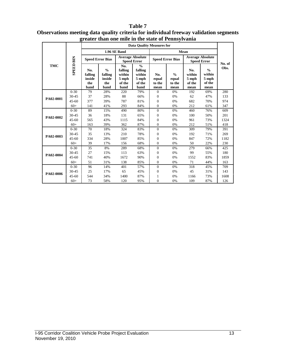#### **Table 7 Observations meeting data quality criteria for individual freeway validation segments greater than one mile in the state of Pennsylvania**

|            |                  |                                         |                                                   |                                                     | <b>Data Quality Measures for</b>                              |                                |                                          |                                               |                                                    |        |
|------------|------------------|-----------------------------------------|---------------------------------------------------|-----------------------------------------------------|---------------------------------------------------------------|--------------------------------|------------------------------------------|-----------------------------------------------|----------------------------------------------------|--------|
|            |                  |                                         |                                                   | 1.96 SE Band                                        |                                                               |                                |                                          | Mean                                          |                                                    |        |
| <b>TMC</b> |                  | <b>Speed Error Bias</b>                 |                                                   | <b>Average Absolute</b><br><b>Speed Error</b>       |                                                               |                                | <b>Speed Error Bias</b>                  | <b>Average Absolute</b><br><b>Speed Error</b> |                                                    | No. of |
|            | <b>SPEED BIN</b> | No.<br>falling<br>inside<br>the<br>band | $\frac{0}{0}$<br>falling<br>inside<br>the<br>band | No.<br>falling<br>within<br>5 mph<br>of the<br>band | $\frac{0}{0}$<br>falling<br>within<br>5 mph<br>of the<br>band | No.<br>equal<br>to the<br>mean | $\frac{0}{0}$<br>equal<br>to the<br>mean | No.<br>within<br>5 mph<br>of the<br>mean      | $\frac{0}{0}$<br>within<br>5 mph<br>of the<br>mean | Obs.   |
|            | $0 - 30$         | 79                                      | 28%                                               | 220                                                 | 79%                                                           | $\Omega$                       | 0%                                       | 192                                           | 69%                                                | 280    |
| PA02-0001  | 30-45            | 37                                      | 28%                                               | 88                                                  | 66%                                                           | $\mathbf{0}$                   | 0%                                       | 62                                            | 47%                                                | 133    |
|            | $45 - 60$        | 377                                     | 39%                                               | 787                                                 | 81%                                                           | $\mathbf{0}$                   | 0%                                       | 682                                           | 70%                                                | 974    |
|            | $60+$            | 141                                     | 41%                                               | 293                                                 | 84%                                                           | $\mathbf{0}$                   | 0%                                       | 212                                           | 61%                                                | 347    |
| PA02-0002  | $0 - 30$         | 89                                      | 15%                                               | 490                                                 | 80%                                                           | $\Omega$                       | 0%                                       | 460                                           | 76%                                                | 609    |
|            | 30-45            | 36                                      | 18%                                               | 131                                                 | 65%                                                           | $\mathbf{0}$                   | 0%                                       | 100                                           | 50%                                                | 201    |
|            | $45 - 60$        | 565                                     | 43%                                               | 1115                                                | 84%                                                           | $\mathbf{0}$                   | 0%                                       | 961                                           | 73%                                                | 1324   |
|            | $60+$            | 163                                     | 39%                                               | 362                                                 | 87%                                                           | $\Omega$                       | 0%                                       | 212                                           | 51%                                                | 418    |
|            | $0 - 30$         | 70                                      | 18%                                               | 324                                                 | 83%                                                           | $\Omega$                       | 0%                                       | 309                                           | 79%                                                | 391    |
| PA02-0003  | 30-45            | 35                                      | 13%                                               | 210                                                 | 78%                                                           | $\mathbf{0}$                   | 0%                                       | 192                                           | 71%                                                | 269    |
|            | $45 - 60$        | 334                                     | 28%                                               | 1007                                                | 85%                                                           | $\mathbf{0}$                   | 0%                                       | 847                                           | 72%                                                | 1182   |
|            | $60+$            | 39                                      | 17%                                               | 156                                                 | 68%                                                           | $\Omega$                       | 0%                                       | 50                                            | 22%                                                | 230    |
|            | $0 - 30$         | 35                                      | 8%                                                | 289                                                 | 68%                                                           | $\Omega$                       | 0%                                       | 279                                           | 66%                                                | 425    |
| PA02-0004  | 30-45            | 27                                      | 15%                                               | 113                                                 | 63%                                                           | $\mathbf{0}$                   | 0%                                       | 99                                            | 55%                                                | 180    |
|            | $45 - 60$        | 741                                     | 40%                                               | 1672                                                | 90%                                                           | $\mathbf{0}$                   | 0%                                       | 1552                                          | 83%                                                | 1859   |
|            | $60+$            | 51                                      | 31%                                               | 138                                                 | 85%                                                           | $\mathbf{0}$                   | 0%                                       | 71                                            | 44%                                                | 163    |
|            | $0 - 30$         | 96                                      | 14%                                               | 401                                                 | 57%                                                           | $\Omega$                       | 0%                                       | 318                                           | 45%                                                | 709    |
| PA02-0006  | $30 - 45$        | 25                                      | 17%                                               | 65                                                  | 45%                                                           | $\mathbf{0}$                   | 0%                                       | 45                                            | 31%                                                | 143    |
|            | $45 - 60$        | 544                                     | 34%                                               | 1400                                                | 87%                                                           | 1                              | 0%                                       | 1166                                          | 73%                                                | 1608   |
|            | $60+$            | 73                                      | 58%                                               | 120                                                 | 95%                                                           | $\mathbf{0}$                   | 0%                                       | 109                                           | 87%                                                | 126    |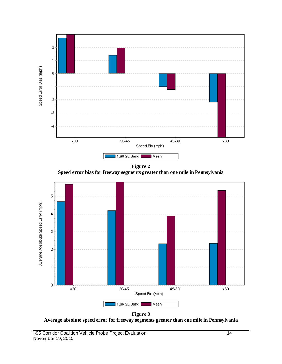

**Figure 2 Speed error bias for freeway segments greater than one mile in Pennsylvania**



**Figure 3 Average absolute speed error for freeway segments greater than one mile in Pennsylvania**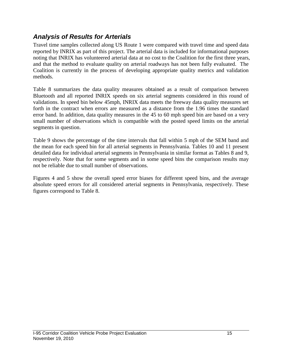### *Analysis of Results for Arterials*

Travel time samples collected along US Route 1 were compared with travel time and speed data reported by INRIX as part of this project. The arterial data is included for informational purposes noting that INRIX has volunteered arterial data at no cost to the Coalition for the first three years, and that the method to evaluate quality on arterial roadways has not been fully evaluated. The Coalition is currently in the process of developing appropriate quality metrics and validation methods.

Table 8 summarizes the data quality measures obtained as a result of comparison between Bluetooth and all reported INRIX speeds on six arterial segments considered in this round of validations. In speed bin below 45mph, INRIX data meets the freeway data quality measures set forth in the contract when errors are measured as a distance from the 1.96 times the standard error band. In addition, data quality measures in the 45 to 60 mph speed bin are based on a very small number of observations which is compatible with the posted speed limits on the arterial segments in question.

Table 9 shows the percentage of the time intervals that fall within 5 mph of the SEM band and the mean for each speed bin for all arterial segments in Pennsylvania. Tables 10 and 11 present detailed data for individual arterial segments in Pennsylvania in similar format as Tables 8 and 9, respectively. Note that for some segments and in some speed bins the comparison results may not be reliable due to small number of observations.

Figures 4 and 5 show the overall speed error biases for different speed bins, and the average absolute speed errors for all considered arterial segments in Pennsylvania, respectively. These figures correspond to Table 8.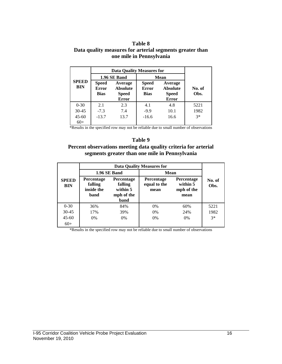#### **Table 8 Data quality measures for arterial segments greater than one mile in Pennsylvania**

| <b>SPEED</b><br><b>BIN</b> | <b>Data Quality Measures for</b>            |                                                            |                                             |                                                            |                |
|----------------------------|---------------------------------------------|------------------------------------------------------------|---------------------------------------------|------------------------------------------------------------|----------------|
|                            |                                             | 1.96 SE Band                                               | <b>Mean</b>                                 |                                                            |                |
|                            | <b>Speed</b><br><b>Error</b><br><b>Bias</b> | Average<br><b>Absolute</b><br><b>Speed</b><br><b>Error</b> | <b>Speed</b><br><b>Error</b><br><b>Bias</b> | Average<br><b>Absolute</b><br><b>Speed</b><br><b>Error</b> | No. of<br>Obs. |
| $0 - 30$                   | 2.1                                         | 2.3                                                        | 4.1                                         | 4.8                                                        | 5221           |
| $30 - 45$                  | $-7.3$                                      | 7.4                                                        | $-9.9$                                      | 10.1                                                       | 1982           |
| $45 - 60$<br>$60+$         | $-13.7$                                     | 13.7                                                       | $-16.6$                                     | 16.6                                                       | $3*$           |

\*Results in the specified row may not be reliable due to small number of observations

#### **Table 9**

#### **Percent observations meeting data quality criteria for arterial segments greater than one mile in Pennsylvania**

|                            | <b>Data Quality Measures for</b>                   |                                                         |                                           |                                              |                |  |  |
|----------------------------|----------------------------------------------------|---------------------------------------------------------|-------------------------------------------|----------------------------------------------|----------------|--|--|
|                            |                                                    | 1.96 SE Band                                            | <b>Mean</b>                               |                                              |                |  |  |
| <b>SPEED</b><br><b>BIN</b> | <b>Percentage</b><br>falling<br>inside the<br>band | Percentage<br>falling<br>within 5<br>mph of the<br>band | <b>Percentage</b><br>equal to the<br>mean | Percentage<br>within 5<br>mph of the<br>mean | No. of<br>Obs. |  |  |
| $0 - 30$                   | 36%                                                | 84%                                                     | 0%                                        | 60%                                          | 5221           |  |  |
| $30 - 45$                  | 17%                                                | 39%                                                     | 0%                                        | 24%                                          | 1982           |  |  |
| $45 - 60$                  | $0\%$                                              | 0%                                                      | 0%                                        | 0%                                           | $3*$           |  |  |
| $60+$                      |                                                    |                                                         |                                           |                                              |                |  |  |

\*Results in the specified row may not be reliable due to small number of observations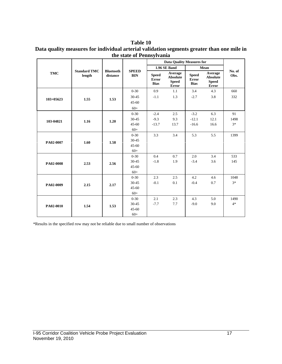#### **Table 10 Data quality measures for individual arterial validation segments greater than one mile in the state of Pennsylvania**

|             |                               |                              |                            | <b>Data Quality Measures for</b>            |                                                     |                                      |                                                            |                |
|-------------|-------------------------------|------------------------------|----------------------------|---------------------------------------------|-----------------------------------------------------|--------------------------------------|------------------------------------------------------------|----------------|
| <b>TMC</b>  |                               |                              | <b>SPEED</b><br><b>BIN</b> |                                             | 1.96 SE Band                                        |                                      | Mean                                                       |                |
|             | <b>Standard TMC</b><br>length | <b>Bluetooth</b><br>distance |                            | <b>Speed</b><br><b>Error</b><br><b>Bias</b> | Average<br>Absolute<br><b>Speed</b><br><b>Error</b> | <b>Speed</b><br>Error<br><b>Bias</b> | Average<br><b>Absolute</b><br><b>Speed</b><br><b>Error</b> | No. of<br>Obs. |
|             | 1.55                          | 1.53                         | $0 - 30$                   | 0.9                                         | 1.1                                                 | 3.4                                  | 4.3                                                        | 660            |
| $103+05623$ |                               |                              | $30 - 45$                  | $-1.1$                                      | 1.3                                                 | $-2.7$                               | 3.8                                                        | 332            |
|             |                               |                              | $45 - 60$                  |                                             |                                                     |                                      |                                                            |                |
|             |                               |                              | $60+$                      |                                             |                                                     |                                      |                                                            |                |
|             |                               | 1.20                         | $0 - 30$                   | $-2.4$                                      | 2.5                                                 | $-3.2$                               | 6.3                                                        | 91             |
| 103-04821   | 1.16                          |                              | $30 - 45$                  | $-9.3$                                      | 9.3                                                 | $-12.1$                              | 12.1                                                       | 1498           |
|             |                               |                              | $45 - 60$                  | $-13.7$                                     | 13.7                                                | $-16.6$                              | 16.6                                                       | $3*$           |
|             |                               |                              | $60+$                      |                                             |                                                     |                                      |                                                            |                |
|             | 1.60                          | 1.58                         | $0 - 30$                   | 3.3                                         | 3.4                                                 | 5.3                                  | 5.5                                                        | 1399           |
| PA02-0007   |                               |                              | $30 - 45$                  |                                             |                                                     |                                      |                                                            |                |
|             |                               |                              | $45 - 60$                  |                                             |                                                     |                                      |                                                            |                |
|             |                               |                              | $60+$                      |                                             |                                                     |                                      |                                                            |                |
|             | 2.53                          | 2.56                         | $0 - 30$                   | 0.4                                         | 0.7                                                 | 2.0                                  | 3.4                                                        | 533            |
| PA02-0008   |                               |                              | $30 - 45$                  | $-1.8$                                      | 1.9                                                 | $-3.4$                               | 3.6                                                        | 145            |
|             |                               |                              | $45 - 60$                  |                                             |                                                     |                                      |                                                            |                |
|             |                               |                              | $60+$                      |                                             |                                                     |                                      |                                                            |                |
|             | 2.15<br>1.54                  | 2.17<br>1.53                 | $0 - 30$                   | 2.3                                         | 2.5                                                 | 4.2                                  | 4.6                                                        | 1048           |
| PA02-0009   |                               |                              | $30 - 45$                  | $-0.1$                                      | 0.1                                                 | $-0.4$                               | 0.7                                                        | $3*$           |
|             |                               |                              | $45 - 60$                  |                                             |                                                     |                                      |                                                            |                |
|             |                               |                              | $60+$                      |                                             |                                                     |                                      |                                                            |                |
|             |                               |                              | $0 - 30$                   | 2.1                                         | 2.3                                                 | 4.3                                  | 5.0                                                        | 1490           |
| PA02-0010   |                               |                              | 30-45                      | $-7.7$                                      | 7.7                                                 | $-9.0$                               | 9.0                                                        | $4*$           |
|             |                               |                              | $45 - 60$                  |                                             |                                                     |                                      |                                                            |                |
|             |                               |                              | $60+$                      |                                             |                                                     |                                      |                                                            |                |

\*Results in the specified row may not be reliable due to small number of observations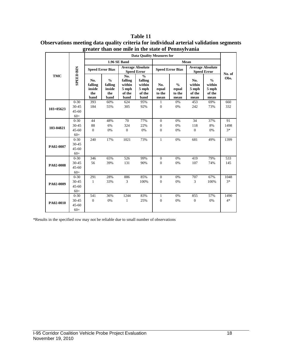|               |                                         | <b>Data Quality Measures for</b>        |                                                   |                                                       |                                                               |                                                |                                          |                                               |                                                    |                    |
|---------------|-----------------------------------------|-----------------------------------------|---------------------------------------------------|-------------------------------------------------------|---------------------------------------------------------------|------------------------------------------------|------------------------------------------|-----------------------------------------------|----------------------------------------------------|--------------------|
| <b>TMC</b>    | <b>SPEED BIN</b>                        | 1.96 SE Band                            |                                                   |                                                       |                                                               | Mean                                           |                                          |                                               |                                                    |                    |
|               |                                         | <b>Speed Error Bias</b>                 |                                                   | <b>Average Absolute</b><br><b>Speed Error</b>         |                                                               | <b>Speed Error Bias</b>                        |                                          | <b>Average Absolute</b><br><b>Speed Error</b> |                                                    | No. of             |
|               |                                         | No.<br>falling<br>inside<br>the<br>band | $\frac{0}{0}$<br>falling<br>inside<br>the<br>band | No.<br>falling<br>within<br>$5$ mph<br>of the<br>band | $\frac{0}{0}$<br>falling<br>within<br>5 mph<br>of the<br>band | No.<br>equal<br>to the<br>mean                 | $\frac{0}{0}$<br>equal<br>to the<br>mean | No.<br>within<br>5 mph<br>of the<br>mean      | $\frac{0}{0}$<br>within<br>5 mph<br>of the<br>mean | Obs.               |
| $103 + 05623$ | $0 - 30$<br>30-45<br>$45 - 60$<br>$60+$ | 393<br>184                              | 60%<br>55%                                        | 624<br>305                                            | 95%<br>92%                                                    | 1<br>$\mathbf{0}$                              | 0%<br>0%                                 | 453<br>242                                    | 69%<br>73%                                         | 660<br>332         |
| 103-04821     | $0 - 30$<br>30-45<br>$45 - 60$<br>$60+$ | 44<br>88<br>$\overline{0}$              | 48%<br>6%<br>0%                                   | 70<br>324<br>$\mathbf{0}$                             | 77%<br>22%<br>0%                                              | $\mathbf{0}$<br>$\overline{0}$<br>$\mathbf{0}$ | 0%<br>0%<br>0%                           | 34<br>118<br>$\mathbf{0}$                     | 37%<br>8%<br>0%                                    | 91<br>1498<br>$3*$ |
| PA02-0007     | $0 - 30$<br>30-45<br>$45 - 60$<br>$60+$ | 240                                     | 17%                                               | 1021                                                  | 73%                                                           | $\mathbf{1}$                                   | 0%                                       | 681                                           | 49%                                                | 1399               |
| PA02-0008     | $0 - 30$<br>30-45<br>$45 - 60$<br>$60+$ | 346<br>56                               | 65%<br>39%                                        | 526<br>131                                            | 99%<br>90%                                                    | $\mathbf{0}$<br>$\mathbf{0}$                   | 0%<br>0%                                 | 419<br>107                                    | 79%<br>74%                                         | 533<br>145         |
| PA02-0009     | $0 - 30$<br>30-45<br>$45 - 60$<br>$60+$ | 291<br>$\mathbf{1}$                     | 28%<br>33%                                        | 886<br>3                                              | 85%<br>100%                                                   | $\theta$<br>$\mathbf{0}$                       | 0%<br>0%                                 | 707<br>3                                      | 67%<br>100%                                        | 1048<br>$3*$       |
| PA02-0010     | $0 - 30$<br>30-45<br>$45 - 60$<br>$60+$ | 541<br>$\overline{0}$                   | 36%<br>0%                                         | 1244<br>1                                             | 83%<br>25%                                                    | $\mathbf{1}$<br>$\overline{0}$                 | 0%<br>0%                                 | 855<br>$\mathbf{0}$                           | 57%<br>0%                                          | 1490<br>$4*$       |

**Table 11 Observations meeting data quality criteria for individual arterial validation segments greater than one mile in the state of Pennsylvania**

\*Results in the specified row may not be reliable due to small number of observations